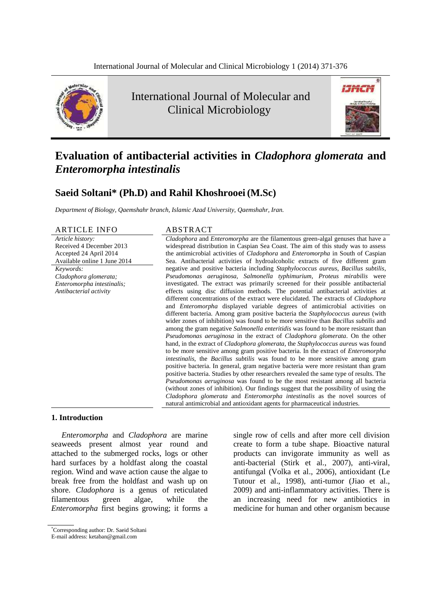

International Journal of Molecular and Clinical Microbiology



# **Evaluation of antibacterial activities in** *Cladophora glomerata* **and**  *Enteromorpha intestinalis*

# **Saeid Soltani\* (Ph.D) and Rahil Khoshrooei(M.Sc)**

*Department of Biology, Qaemshahr branch, Islamic Azad University, Qaemshahr, Iran.*

#### ARTICLE INFO ABSTRACT

*Article history:* Received 4 December 2013 Accepted 24 April 2014 Available online 1 June 2014 *Keywords: Cladophora glomerata; Enteromorpha intestinalis; Antibacterial activity*

*Cladophora* and *Enteromorpha* are the filamentous green-algal genuses that have a widespread distribution in Caspian Sea Coast. The aim of this study was to assess the antimicrobial activities of *Cladophora* and *Enteromorpha* in South of Caspian Sea. Antibacterial activities of hydroalcoholic extracts of five different gram negative and positive bacteria including *Staphylococcus aureus*, *Bacillus subtilis*, *Pseudomonas aeruginosa, Salmonella typhimurium, Proteus mirabilis* were investigated. The extract was primarily screened for their possible antibacterial effects using disc diffusion methods. The potential antibacterial activities at different concentrations of the extract were elucidated. The extracts of *Cladophora* and *Enteromorpha* displayed variable degrees of antimicrobial activities on different bacteria. Among gram positive bacteria the *Staphylococcus aureus* (with wider zones of inhibition) was found to be more sensitive than *Bacillus subtilis* and among the gram negative *Salmonella enteritidis* was found to be more resistant than *Pseudomonas aeruginosa* in the extract of *Cladophora glomerata*. On the other hand, in the extract of *Cladophora glomerata*, the *Staphylococcus aureus* was found to be more sensitive among gram positive bacteria. In the extract of *Enteromorpha intestinalis*, the *Bacillus subtilis* was found to be more sensitive among gram positive bacteria. In general, gram negative bacteria were more resistant than gram positive bacteria. Studies by other researchers revealed the same type of results. The *Pseudomonas aeruginosa* was found to be the most resistant among all bacteria (without zones of inhibition). Our findings suggest that the possibility of using the *Cladophora glomerata* and *Enteromorpha intestinalis* as the novel sources of natural antimicrobial and antioxidant agents for pharmaceutical industries.

#### **1. Introduction**

*Enteromorpha* and *Cladophora* are marine seaweeds present almost year round and attached to the submerged rocks, logs or other hard surfaces by a holdfast along the coastal region. Wind and wave action cause the algae to break free from the holdfast and wash up on shore. *Cladophora* is a genus of reticulated [filamentous](http://en.wikipedia.org/wiki/Hypha) green [algae,](http://en.wikipedia.org/wiki/Alga) while the *Enteromorpha* first begins growing; it forms a

single row of cells and after more cell division create to form a tube shape. Bioactive natural products can invigorate immunity as well as anti-bacterial (Stirk et al., 2007), anti-viral, antifungal (Volka et al., 2006), antioxidant (Le Tutour et al., 1998), anti-tumor (Jiao et al., 2009) and anti-inflammatory activities. There is an increasing need for new antibiotics in medicine for human and other organism because

<sup>\*</sup>Corresponding author: Dr. Saeid Soltani

E-mail address: ketaban@gmail.com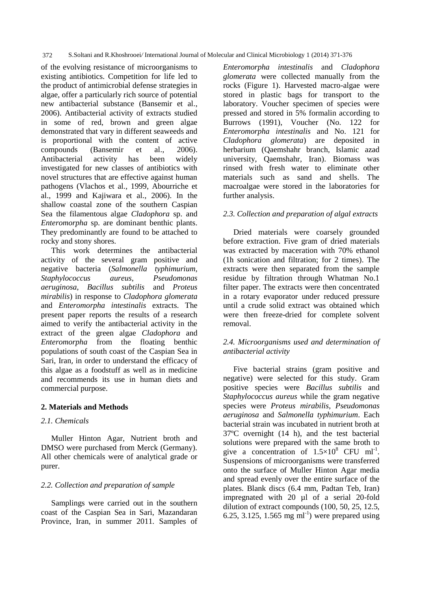372 S.Soltani and R.Khoshrooei*/* International Journal of Molecular and Clinical Microbiology 1 (2014) 371-376

of the evolving resistance of microorganisms to existing antibiotics. Competition for life led to the product of antimicrobial defense strategies in algae, offer a particularly rich source of potential new antibacterial substance (Bansemir et al., 2006). Antibacterial activity of extracts studied in some of red, brown and green algae demonstrated that vary in different seaweeds and is proportional with the content of active compounds (Bansemir et al., 2006). Antibacterial activity has been widely investigated for new classes of antibiotics with novel structures that are effective against human pathogens (Vlachos et al., 1999, Abourriche et al., 1999 and Kajiwara et al., 2006). In the shallow coastal zone of the southern Caspian Sea the filamentous algae *Cladophora* sp. and *Enteromorpha* sp. are dominant benthic plants. They predominantly are found to be attached to rocky and stony shores.

This work determines the antibacterial activity of the several gram positive and negative bacteria (*Salmonella typhimurium*, *Staphylococcus aureus*, *Pseudomonas aeruginosa*, *Bacillus subtilis* and *Proteus mirabilis*) in response to *Cladophora glomerata* and *Enteromorpha intestinalis* extracts. The present paper reports the results of a research aimed to verify the antibacterial activity in the extract of the green algae *Cladophora* and *Enteromorpha* from the floating benthic populations of south coast of the Caspian Sea in Sari, Iran, in order to understand the efficacy of this algae as a foodstuff as well as in medicine and recommends its use in human diets and commercial purpose.

# **2. Materials and Methods**

# *2.1. Chemicals*

Muller Hinton Agar, Nutrient broth and DMSO were purchased from Merck (Germany). All other chemicals were of analytical grade or purer.

#### *2.2. Collection and preparation of sample*

Samplings were carried out in the southern coast of the Caspian Sea in Sari, Mazandaran Province, Iran, in summer 2011. Samples of

*Enteromorpha intestinalis* and *Cladophora glomerata* were collected manually from the rocks (Figure 1). Harvested macro-algae were stored in plastic bags for transport to the laboratory. Voucher specimen of species were pressed and stored in 5% formalin according to Burrows (1991), Voucher (No. 122 for *Enteromorpha intestinalis* and No. 121 for *Cladophora glomerata*) are deposited in herbarium (Qaemshahr branch, Islamic azad university, Qaemshahr, Iran). Biomass was rinsed with fresh water to eliminate other materials such as sand and shells. The macroalgae were stored in the laboratories for further analysis.

## *2.3. Collection and preparation of algal extracts*

Dried materials were coarsely grounded before extraction. Five gram of dried materials was extracted by maceration with 70% ethanol (1h sonication and filtration; for 2 times). The extracts were then separated from the sample residue by filtration through Whatman No.1 filter paper. The extracts were then concentrated in a rotary evaporator under reduced pressure until a crude solid extract was obtained which were then freeze-dried for complete solvent removal.

# *2.4. Microorganisms used and determination of antibacterial activity*

Five bacterial strains (gram positive and negative) were selected for this study. Gram positive species were *Bacillus subtilis* and *Staphylococcus aureus* while the gram negative species were *Proteus mirabilis*, *Pseudomonas aeruginosa* and *Salmonella typhimurium*. Each bacterial strain was incubated in nutrient broth at 37ºC overnight (14 h), and the test bacterial solutions were prepared with the same broth to give a concentration of  $1.5 \times 10^8$  CFU ml<sup>-1</sup>. Suspensions of microorganisms were transferred onto the surface of Muller Hinton Agar media and spread evenly over the entire surface of the plates. Blank discs (6.4 mm, Padtan Teb, Iran) impregnated with 20 µl of a serial 20-fold dilution of extract compounds (100, 50, 25, 12.5, 6.25, 3.125, 1.565 mg  $\text{ml}^{-1}$ ) were prepared using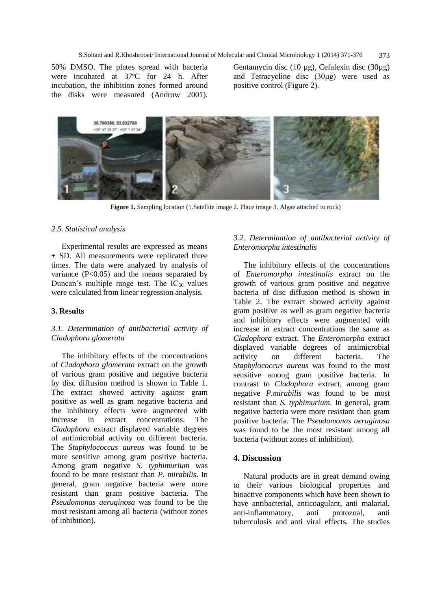50% DMSO. The plates spread with bacteria were incubated at 37ºC for 24 h. After incubation, the inhibition zones formed around the disks were measured (Androw 2001).

Gentamycin disc (10 µg), Cefalexin disc (30µg) and Tetracycline disc (30μg) were used as positive control (Figure 2).



**Figure 1.** Sampling location (1.Satellite image 2. Place image 3. Algae attached to rock)

#### *2.5. Statistical analysis*

Experimental results are expressed as means ± SD. All measurements were replicated three times. The data were analyzed by analysis of variance  $(P<0.05)$  and the means separated by Duncan's multiple range test. The  $IC_{50}$  values were calculated from linear regression analysis.

#### **3. Results**

# *3.1. Determination of antibacterial activity of Cladophora glomerata*

The inhibitory effects of the concentrations of *Cladophora glomerata* extract on the growth of various gram positive and negative bacteria by disc diffusion method is shown in Table 1. The extract showed activity against gram positive as well as gram negative bacteria and the inhibitory effects were augmented with increase in extract concentrations. The *Cladophora* extract displayed variable degrees of antimicrobial activity on different bacteria. The *Staphylococcus aureus* was found to be more sensitive among gram positive bacteria. Among gram negative *S. typhimurium* was found to be more resistant than *P. mirabilis*. In general, gram negative bacteria were more resistant than gram positive bacteria. The *Pseudomonas aeruginosa* was found to be the most resistant among all bacteria (without zones of inhibition).

# *3.2. Determination of antibacterial activity of Enteromorpha intestinalis*

The inhibitory effects of the concentrations of *Enteromorpha intestinalis* extract on the growth of various gram positive and negative bacteria of disc diffusion method is shown in Table 2. The extract showed activity against gram positive as well as gram negative bacteria and inhibitory effects were augmented with increase in extract concentrations the same as *Cladophora* extract. The *Enteromorpha* extract displayed variable degrees of antimicrobial activity on different bacteria. The *Staphylococcus aureus* was found to the most sensitive among gram positive bacteria. In contrast to *Cladophora* extract, among gram negative *P.mirabilis* was found to be most resistant than *S. typhimurium*. In general, gram negative bacteria were more resistant than gram positive bacteria. The *Pseudomonas aeruginosa* was found to be the most resistant among all bacteria (without zones of inhibition).

## **4. Discussion**

Natural products are in great demand owing to their various biological properties and bioactive components which have been shown to have antibacterial, anticoagulant, anti malarial, anti-inflammatory, anti protozoal, anti tuberculosis and anti viral effects. The studies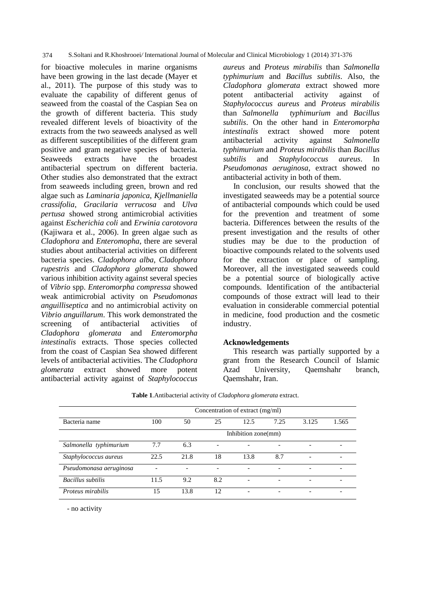374 S.Soltani and R.Khoshrooei*/* International Journal of Molecular and Clinical Microbiology 1 (2014) 371-376

for bioactive molecules in marine organisms have been growing in the last decade (Mayer et al., 2011). The purpose of this study was to evaluate the capability of different genus of seaweed from the coastal of the Caspian Sea on the growth of different bacteria. This study revealed different levels of bioactivity of the extracts from the two seaweeds analysed as well as different susceptibilities of the different gram positive and gram negative species of bacteria. Seaweeds extracts have the broadest antibacterial spectrum on different bacteria. Other studies also demonstrated that the extract from seaweeds including green, brown and red algae such as *Laminaria japonica*, *Kjellmaniella crassifolia*, *Gracilaria verrucosa* and *Ulva pertusa* showed strong antimicrobial activities against *Escherichia coli* and *Erwinia carotovora*  (Kajiwara et al., 2006). In green algae such as *Cladophora* and *Enteromopha*, there are several studies about antibacterial activities on different bacteria species. *Cladophora alba, Cladophora rupestris* and *Cladophora glomerata* showed various inhibition activity against several species of *Vibrio* spp. *Enteromorpha compressa* showed weak antimicrobial activity on *Pseudomonas anguilliseptica* and no antimicrobial activity on *Vibrio anguillarum*. This work demonstrated the screening of antibacterial activities of *Cladophora glomerata* and *Enteromorpha intestinalis* extracts. Those species collected from the coast of Caspian Sea showed different levels of antibacterial activities. The *Cladophora glomerata* extract showed more potent antibacterial activity against of *Staphylococcus*  *aureus* and *Proteus mirabilis* than *Salmonella typhimurium* and *Bacillus subtilis*. Also, the *Cladophora glomerata* extract showed more potent antibacterial activity against of *Staphylococcus aureus* and *Proteus mirabilis* than *Salmonella typhimurium* and *Bacillus subtilis*. On the other hand in *Enteromorpha intestinalis* extract showed more potent antibacterial activity against *Salmonella typhimurium* and *Proteus mirabilis* than *Bacillus subtilis* and *Staphylococcus aureus*. In *Pseudomonas aeruginosa*, extract showed no antibacterial activity in both of them.

In conclusion, our results showed that the investigated seaweeds may be a potential source of antibacterial compounds which could be used for the prevention and treatment of some bacteria. Differences between the results of the present investigation and the results of other studies may be due to the production of bioactive compounds related to the solvents used for the extraction or place of sampling. Moreover, all the investigated seaweeds could be a potential source of biologically active compounds. Identification of the antibacterial compounds of those extract will lead to their evaluation in considerable commercial potential in medicine, food production and the cosmetic industry.

#### **Acknowledgements**

This research was partially supported by a grant from the Research Council of Islamic Azad University, Qaemshahr branch, Qaemshahr, Iran.

|                         | Concentration of extract (mg/ml) |      |                          |      |      |       |                          |  |  |  |  |
|-------------------------|----------------------------------|------|--------------------------|------|------|-------|--------------------------|--|--|--|--|
| Bacteria name           | 100                              | 50   | 25                       | 12.5 | 7.25 | 3.125 | 1.565                    |  |  |  |  |
|                         | Inhibition zone(mm)              |      |                          |      |      |       |                          |  |  |  |  |
| Salmonella typhimurium  | 7.7                              | 6.3  | ۰                        |      |      |       | -                        |  |  |  |  |
| Staphylococcus aureus   | 22.5                             | 21.8 | 18                       | 13.8 | 8.7  |       |                          |  |  |  |  |
| Pseudomonasa aeruginosa |                                  |      | $\overline{\phantom{0}}$ | -    | -    |       | $\overline{\phantom{0}}$ |  |  |  |  |
| Bacillus subtilis       | 11.5                             | 9.2  | 8.2                      |      | -    |       | -                        |  |  |  |  |
| Proteus mirabilis       | 15                               | 13.8 | 12                       |      |      |       | $\overline{\phantom{a}}$ |  |  |  |  |
|                         |                                  |      |                          |      |      |       |                          |  |  |  |  |

**Table 1**.Antibacterial activity of *Cladophora glomerata* extract.

- no activity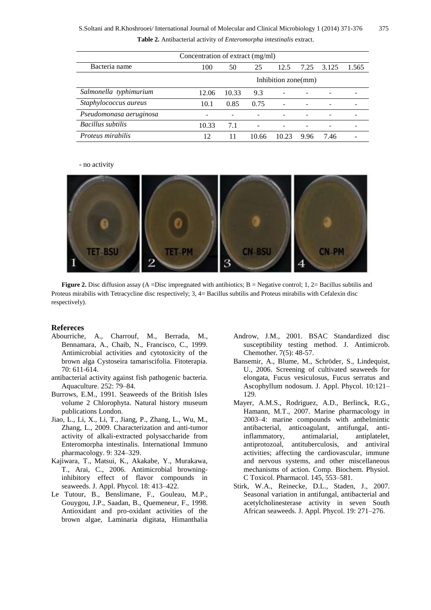| Concentration of extract (mg/ml) |                     |       |       |       |      |       |       |  |  |  |  |
|----------------------------------|---------------------|-------|-------|-------|------|-------|-------|--|--|--|--|
| Bacteria name                    | 100                 | 50    | 25    | 12.5  | 7.25 | 3.125 | 1.565 |  |  |  |  |
|                                  | Inhibition zone(mm) |       |       |       |      |       |       |  |  |  |  |
| Salmonella typhimurium           | 12.06               | 10.33 | 9.3   |       |      |       |       |  |  |  |  |
| Staphylococcus aureus            | 10.1                | 0.85  | 0.75  |       |      |       |       |  |  |  |  |
| Pseudomonasa aeruginosa          |                     |       |       |       |      |       |       |  |  |  |  |
| Bacillus subtilis                | 10.33               | 7.1   |       |       |      |       |       |  |  |  |  |
| <i>Proteus mirabilis</i>         | 12                  | 11    | 10.66 | 10.23 | 9.96 | 7.46  |       |  |  |  |  |

- no activity



**Figure 2.** Disc diffusion assay (A =Disc impregnated with antibiotics;  $B = Negative$  control; 1, 2= Bacillus subtilis and Proteus mirabilis with Tetracycline disc respectively; 3, 4= Bacillus subtilis and Proteus mirabilis with Cefalexin disc respectively).

#### **Refereces**

- Abourriche, A., Charrouf, M., Berrada, M., Bennamara, A., Chaib, N., Francisco, C., 1999. Antimicrobial activities and cytotoxicity of the brown alga Cystoseira tamariscifolia. Fitoterapia. 70: 611-614.
- antibacterial activity against fish pathogenic bacteria. Aquaculture. 252: 79–84.
- Burrows, E.M., 1991. Seaweeds of the British Isles volume 2 Chlorophyta. Natural history museum publications London.
- Jiao, L., Li, X., Li, T., Jiang, P., Zhang, L., Wu, M., Zhang, L., 2009. Characterization and anti-tumor activity of alkali-extracted polysaccharide from Enteromorpha intestinalis. International Immuno pharmacology. 9: 324–329.
- Kajiwara, T., Matsui, K., Akakabe, Y., Murakawa, T., Arai, C., 2006. Antimicrobial browninginhibitory effect of flavor compounds in seaweeds. J. Appl. Phycol. 18: 413–422.
- Le Tutour, B., Benslimane, F., Gouleau, M.P., Gouygou, J.P., Saadan, B., Quemeneur, F., 1998. Antioxidant and pro-oxidant activities of the brown algae, Laminaria digitata, Himanthalia
- Androw, J.M., 2001. BSAC Standardized disc susceptibility testing method. J. Antimicrob. Chemother. 7(5): 48-57.
- Bansemir, A., Blume, M., Schröder, S., Lindequist, U., 2006. Screening of cultivated seaweeds for elongata, Fucus vesiculosus, Fucus serratus and Ascophyllum nodosum. J. Appl. Phycol. 10:121– 129.
- Mayer, A.M.S., Rodriguez, A.D., Berlinck, R.G., Hamann, M.T., 2007. Marine pharmacology in 2003–4: marine compounds with anthelmintic antibacterial, anticoagulant, antifungal, antiinflammatory, antimalarial, antiplatelet, antiprotozoal, antituberculosis, and antiviral activities; affecting the cardiovascular, immune and nervous systems, and other miscellaneous mechanisms of action. Comp. Biochem. Physiol. C Toxicol. Pharmacol. 145, 553–581.
- Stirk, W.A., Reinecke, D.L., Staden, J., 2007. Seasonal variation in antifungal, antibacterial and acetylcholinesterase activity in seven South African seaweeds. J. Appl. Phycol. 19: 271–276.